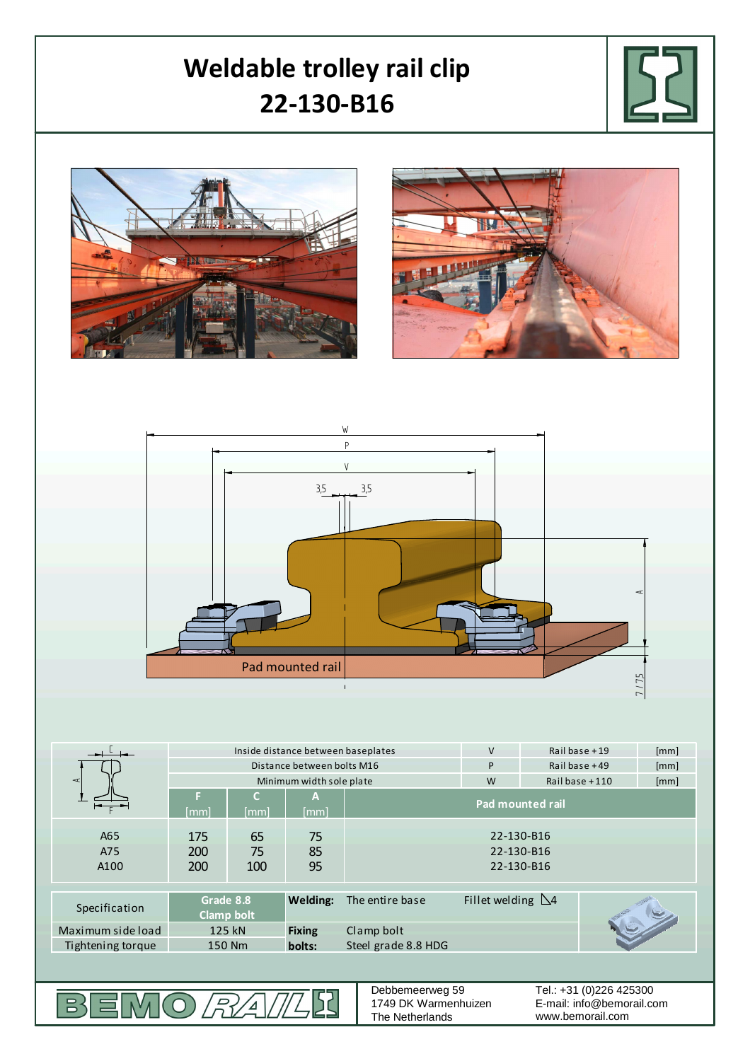## **Weldable trolley rail clip 22-130-B16** P W AV  $3,5$   $3,5$

Pad mounted rail Pad mounted rail

|                   | Inside distance between baseplates |            |                 |                         | $\vee$                    | Rail base $+19$         | [mm] |      |
|-------------------|------------------------------------|------------|-----------------|-------------------------|---------------------------|-------------------------|------|------|
|                   | Distance between bolts M16         |            |                 |                         | P                         | Rail base $+49$         |      | [mm] |
| $\prec$           | Minimum width sole plate           |            |                 |                         | W                         | Railbase $+110$<br>[mm] |      |      |
|                   | F<br>[mm]                          | C.<br>[mm] | A)<br>[mm]      | <b>Pad mounted rail</b> |                           |                         |      |      |
|                   |                                    |            |                 |                         |                           |                         |      |      |
| A65               | 175                                | 65         | 75              | 22-130-B16              |                           |                         |      |      |
| A75               | <b>200</b>                         | 75         | 85              | 22-130-B16              |                           |                         |      |      |
| A <sub>100</sub>  | <b>200</b>                         | 100        | 95              | 22-130-B16              |                           |                         |      |      |
|                   |                                    |            |                 |                         |                           |                         |      |      |
| Specification     | Grade 8.8<br>Clamp bolt            |            | <b>Welding:</b> | The entire base         | Fillet welding $\Delta$ 4 |                         |      |      |
| Maximum side load | 125 kN                             |            | <b>Fixing</b>   | Clamp bolt              |                           |                         |      |      |
| Tightening torque | 150 Nm                             |            | bolts:          | Steel grade 8.8 HDG     |                           |                         |      |      |
|                   |                                    |            |                 |                         |                           |                         |      |      |

BEMO*RAIL* **SZ**  Debbemeerweg 59 1749 DK Warmenhuizen The Netherlands

E-mail: info@bemorail.com www.bemorail.com Tel.: +31 (0)226 425300

7 / 7,5